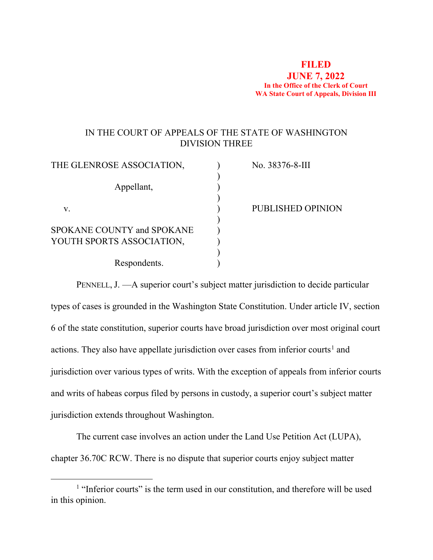## **FILED JUNE 7, 2022 In the Office of the Clerk of Court WA State Court of Appeals, Division III**

## IN THE COURT OF APPEALS OF THE STATE OF WASHINGTON DIVISION THREE

| THE GLENROSE ASSOCIATION,  | No. 38376-8-III   |
|----------------------------|-------------------|
|                            |                   |
| Appellant,                 |                   |
|                            |                   |
| v.                         | PUBLISHED OPINION |
|                            |                   |
| SPOKANE COUNTY and SPOKANE |                   |
| YOUTH SPORTS ASSOCIATION,  |                   |
|                            |                   |
| Respondents.               |                   |
|                            |                   |

PENNELL, J. —A superior court's subject matter jurisdiction to decide particular types of cases is grounded in the Washington State Constitution. Under article IV, section 6 of the state constitution, superior courts have broad jurisdiction over most original court actions. They also have appellate jurisdiction over cases from inferior courts<sup>[1](#page-0-0)</sup> and jurisdiction over various types of writs. With the exception of appeals from inferior courts and writs of habeas corpus filed by persons in custody, a superior court's subject matter jurisdiction extends throughout Washington.

The current case involves an action under the Land Use Petition Act (LUPA), chapter 36.70C RCW. There is no dispute that superior courts enjoy subject matter

<span id="page-0-0"></span><sup>&</sup>lt;sup>1</sup> "Inferior courts" is the term used in our constitution, and therefore will be used in this opinion.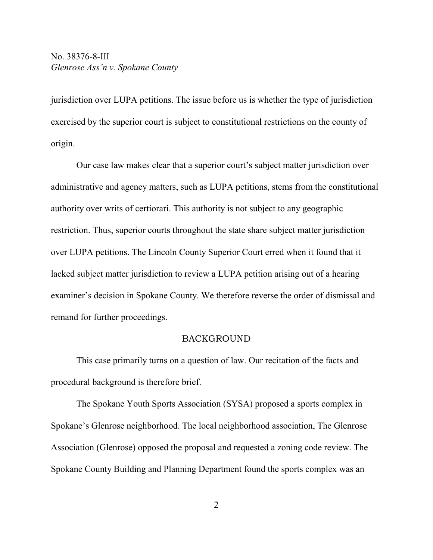# No. 38376-8-III *Glenrose Ass'n v. Spokane County*

jurisdiction over LUPA petitions. The issue before us is whether the type of jurisdiction exercised by the superior court is subject to constitutional restrictions on the county of origin.

Our case law makes clear that a superior court's subject matter jurisdiction over administrative and agency matters, such as LUPA petitions, stems from the constitutional authority over writs of certiorari. This authority is not subject to any geographic restriction. Thus, superior courts throughout the state share subject matter jurisdiction over LUPA petitions. The Lincoln County Superior Court erred when it found that it lacked subject matter jurisdiction to review a LUPA petition arising out of a hearing examiner's decision in Spokane County. We therefore reverse the order of dismissal and remand for further proceedings.

#### BACKGROUND

This case primarily turns on a question of law. Our recitation of the facts and procedural background is therefore brief.

The Spokane Youth Sports Association (SYSA) proposed a sports complex in Spokane's Glenrose neighborhood. The local neighborhood association, The Glenrose Association (Glenrose) opposed the proposal and requested a zoning code review. The Spokane County Building and Planning Department found the sports complex was an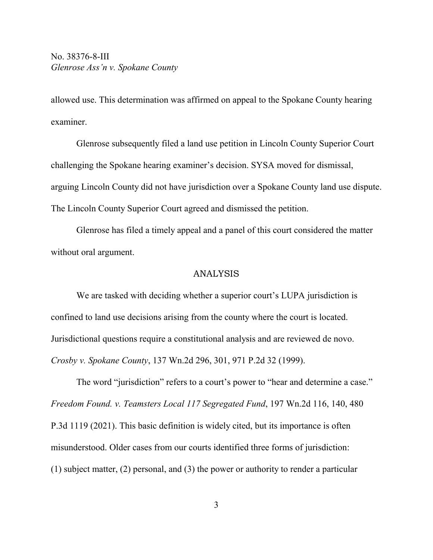allowed use. This determination was affirmed on appeal to the Spokane County hearing examiner.

Glenrose subsequently filed a land use petition in Lincoln County Superior Court challenging the Spokane hearing examiner's decision. SYSA moved for dismissal, arguing Lincoln County did not have jurisdiction over a Spokane County land use dispute. The Lincoln County Superior Court agreed and dismissed the petition.

Glenrose has filed a timely appeal and a panel of this court considered the matter without oral argument.

## ANALYSIS

We are tasked with deciding whether a superior court's LUPA jurisdiction is confined to land use decisions arising from the county where the court is located. Jurisdictional questions require a constitutional analysis and are reviewed de novo. *Crosby v. Spokane County*, 137 Wn.2d 296, 301, 971 P.2d 32 (1999).

The word "jurisdiction" refers to a court's power to "hear and determine a case." *Freedom Found. v. Teamsters Local 117 Segregated Fund*, 197 Wn.2d 116, 140, 480 P.3d 1119 (2021). This basic definition is widely cited, but its importance is often misunderstood. Older cases from our courts identified three forms of jurisdiction: (1) subject matter, (2) personal, and (3) the power or authority to render a particular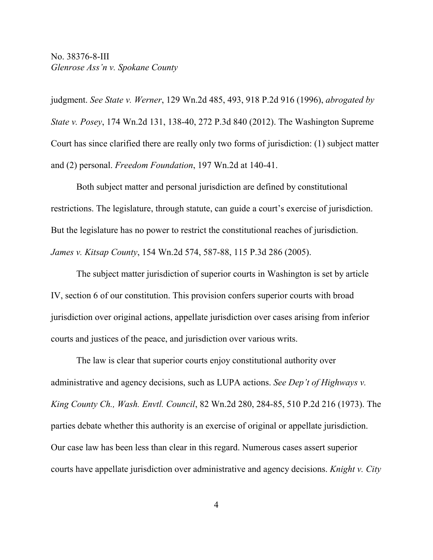No. 38376-8-III *Glenrose Ass'n v. Spokane County*

judgment. *See State v. Werner*, 129 Wn.2d 485, 493, 918 P.2d 916 (1996), *abrogated by State v. Posey*, 174 Wn.2d 131, 138-40, 272 P.3d 840 (2012). The Washington Supreme Court has since clarified there are really only two forms of jurisdiction: (1) subject matter and (2) personal. *Freedom Foundation*, 197 Wn.2d at 140-41.

Both subject matter and personal jurisdiction are defined by constitutional restrictions. The legislature, through statute, can guide a court's exercise of jurisdiction. But the legislature has no power to restrict the constitutional reaches of jurisdiction. *James v. Kitsap County*, 154 Wn.2d 574, 587-88, 115 P.3d 286 (2005).

The subject matter jurisdiction of superior courts in Washington is set by article IV, section 6 of our constitution. This provision confers superior courts with broad jurisdiction over original actions, appellate jurisdiction over cases arising from inferior courts and justices of the peace, and jurisdiction over various writs.

The law is clear that superior courts enjoy constitutional authority over administrative and agency decisions, such as LUPA actions. *See Dep't of Highways v. King County Ch., Wash. Envtl. Council*, 82 Wn.2d 280, 284-85, 510 P.2d 216 (1973). The parties debate whether this authority is an exercise of original or appellate jurisdiction. Our case law has been less than clear in this regard. Numerous cases assert superior courts have appellate jurisdiction over administrative and agency decisions. *Knight v. City*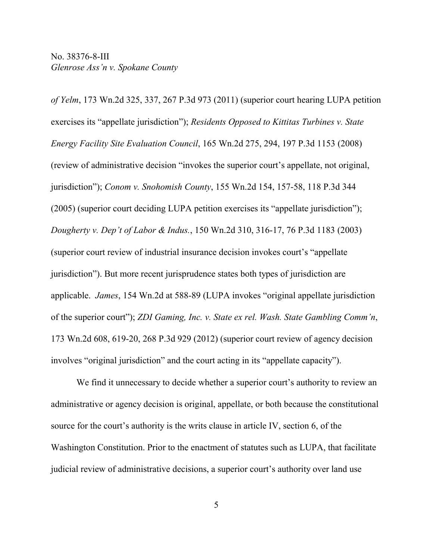*of Yelm*, 173 Wn.2d 325, 337, 267 P.3d 973 (2011) (superior court hearing LUPA petition exercises its "appellate jurisdiction"); *Residents Opposed to Kittitas Turbines v. State Energy Facility Site Evaluation Council*, 165 Wn.2d 275, 294, 197 P.3d 1153 (2008) (review of administrative decision "invokes the superior court's appellate, not original, jurisdiction"); *Conom v. Snohomish County*, 155 Wn.2d 154, 157-58, 118 P.3d 344 (2005) (superior court deciding LUPA petition exercises its "appellate jurisdiction"); *Dougherty v. Dep't of Labor & Indus.*, 150 Wn.2d 310, 316-17, 76 P.3d 1183 (2003) (superior court review of industrial insurance decision invokes court's "appellate jurisdiction"). But more recent jurisprudence states both types of jurisdiction are applicable. *James*, 154 Wn.2d at 588-89 (LUPA invokes "original appellate jurisdiction of the superior court"); *ZDI Gaming, Inc. v. State ex rel. Wash. State Gambling Comm'n*, 173 Wn.2d 608, 619-20, 268 P.3d 929 (2012) (superior court review of agency decision involves "original jurisdiction" and the court acting in its "appellate capacity").

We find it unnecessary to decide whether a superior court's authority to review an administrative or agency decision is original, appellate, or both because the constitutional source for the court's authority is the writs clause in article IV, section 6, of the Washington Constitution. Prior to the enactment of statutes such as LUPA, that facilitate judicial review of administrative decisions, a superior court's authority over land use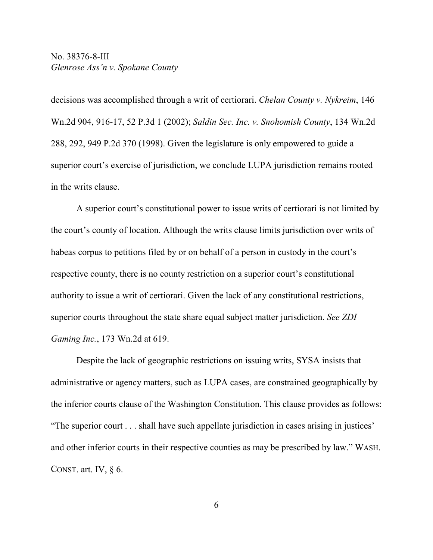No. 38376-8-III *Glenrose Ass'n v. Spokane County*

decisions was accomplished through a writ of certiorari. *Chelan County v. Nykreim*, 146 Wn.2d 904, 916-17, 52 P.3d 1 (2002); *Saldin Sec. Inc. v. Snohomish County*, 134 Wn.2d 288, 292, 949 P.2d 370 (1998). Given the legislature is only empowered to guide a superior court's exercise of jurisdiction, we conclude LUPA jurisdiction remains rooted in the writs clause.

A superior court's constitutional power to issue writs of certiorari is not limited by the court's county of location. Although the writs clause limits jurisdiction over writs of habeas corpus to petitions filed by or on behalf of a person in custody in the court's respective county, there is no county restriction on a superior court's constitutional authority to issue a writ of certiorari. Given the lack of any constitutional restrictions, superior courts throughout the state share equal subject matter jurisdiction. *See ZDI Gaming Inc.*, 173 Wn.2d at 619.

Despite the lack of geographic restrictions on issuing writs, SYSA insists that administrative or agency matters, such as LUPA cases, are constrained geographically by the inferior courts clause of the Washington Constitution. This clause provides as follows: "The superior court . . . shall have such appellate jurisdiction in cases arising in justices' and other inferior courts in their respective counties as may be prescribed by law." WASH. CONST. art. IV, § 6.

6